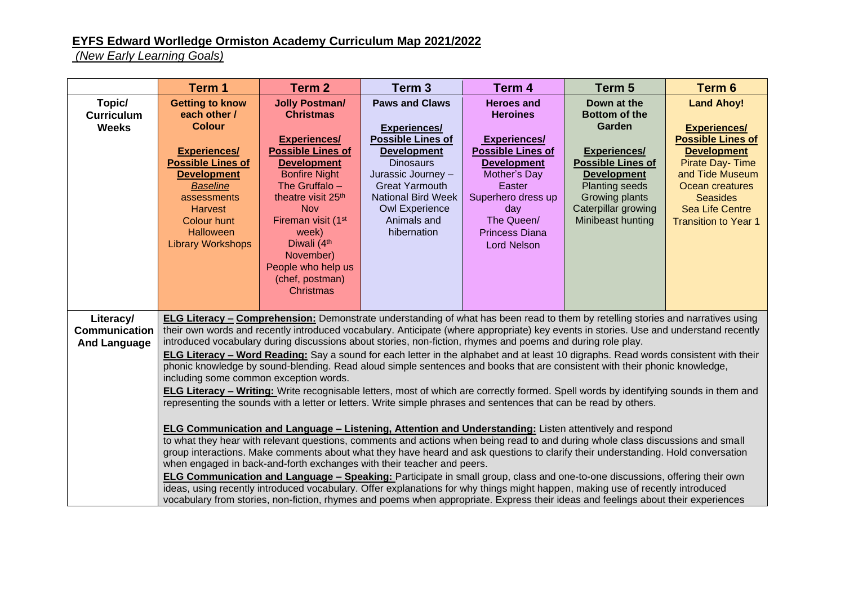## **EYFS Edward Worlledge Ormiston Academy Curriculum Map 2021/2022**

*(New Early Learning Goals)*

|                                                          | Term 1                                                                                                                                                                                                                                                                                                                                                                                                                                                                                                                                                                                                                                                                                                                                                                                                                                                                                                                                                                                                                                                                                                                                                                                                                                                                                                                                                                                                                                                                                                                                                                                                                                                                                                                                                                                                                                | Term 2                                                                                                                                                                                                                                                                                                                                                       | Term <sub>3</sub>                                                                                                                                                                                                                                     | Term 4                                                                                                                                                                                                                            | Term 5                                                                                                                                                                                                        | Term 6                                                                                                                                                                                                                                 |
|----------------------------------------------------------|---------------------------------------------------------------------------------------------------------------------------------------------------------------------------------------------------------------------------------------------------------------------------------------------------------------------------------------------------------------------------------------------------------------------------------------------------------------------------------------------------------------------------------------------------------------------------------------------------------------------------------------------------------------------------------------------------------------------------------------------------------------------------------------------------------------------------------------------------------------------------------------------------------------------------------------------------------------------------------------------------------------------------------------------------------------------------------------------------------------------------------------------------------------------------------------------------------------------------------------------------------------------------------------------------------------------------------------------------------------------------------------------------------------------------------------------------------------------------------------------------------------------------------------------------------------------------------------------------------------------------------------------------------------------------------------------------------------------------------------------------------------------------------------------------------------------------------------|--------------------------------------------------------------------------------------------------------------------------------------------------------------------------------------------------------------------------------------------------------------------------------------------------------------------------------------------------------------|-------------------------------------------------------------------------------------------------------------------------------------------------------------------------------------------------------------------------------------------------------|-----------------------------------------------------------------------------------------------------------------------------------------------------------------------------------------------------------------------------------|---------------------------------------------------------------------------------------------------------------------------------------------------------------------------------------------------------------|----------------------------------------------------------------------------------------------------------------------------------------------------------------------------------------------------------------------------------------|
| Topic/<br><b>Curriculum</b><br><b>Weeks</b>              | <b>Getting to know</b><br>each other /<br><b>Colour</b><br><b>Experiences/</b><br><b>Possible Lines of</b><br><b>Development</b><br><b>Baseline</b><br>assessments<br><b>Harvest</b><br>Colour hunt<br><b>Halloween</b><br><b>Library Workshops</b>                                                                                                                                                                                                                                                                                                                                                                                                                                                                                                                                                                                                                                                                                                                                                                                                                                                                                                                                                                                                                                                                                                                                                                                                                                                                                                                                                                                                                                                                                                                                                                                   | <b>Jolly Postman/</b><br><b>Christmas</b><br><b>Experiences/</b><br><b>Possible Lines of</b><br><b>Development</b><br><b>Bonfire Night</b><br>The Gruffalo -<br>theatre visit 25 <sup>th</sup><br><b>Nov</b><br>Fireman visit (1 <sup>st</sup><br>week)<br>Diwali (4 <sup>th</sup><br>November)<br>People who help us<br>(chef, postman)<br><b>Christmas</b> | <b>Paws and Claws</b><br><b>Experiences/</b><br><b>Possible Lines of</b><br><b>Development</b><br><b>Dinosaurs</b><br>Jurassic Journey -<br><b>Great Yarmouth</b><br><b>National Bird Week</b><br><b>Owl Experience</b><br>Animals and<br>hibernation | <b>Heroes and</b><br><b>Heroines</b><br><b>Experiences/</b><br><b>Possible Lines of</b><br><b>Development</b><br>Mother's Day<br>Easter<br>Superhero dress up<br>day<br>The Queen/<br><b>Princess Diana</b><br><b>Lord Nelson</b> | Down at the<br><b>Bottom of the</b><br>Garden<br><b>Experiences/</b><br><b>Possible Lines of</b><br><b>Development</b><br><b>Planting seeds</b><br>Growing plants<br>Caterpillar growing<br>Minibeast hunting | <b>Land Ahoy!</b><br><b>Experiences/</b><br><b>Possible Lines of</b><br><b>Development</b><br><b>Pirate Day-Time</b><br>and Tide Museum<br>Ocean creatures<br><b>Seasides</b><br><b>Sea Life Centre</b><br><b>Transition to Year 1</b> |
| Literacy/<br><b>Communication</b><br><b>And Language</b> | ELG Literacy - Comprehension: Demonstrate understanding of what has been read to them by retelling stories and narratives using<br>their own words and recently introduced vocabulary. Anticipate (where appropriate) key events in stories. Use and understand recently<br>introduced vocabulary during discussions about stories, non-fiction, rhymes and poems and during role play.<br>ELG Literacy - Word Reading: Say a sound for each letter in the alphabet and at least 10 digraphs. Read words consistent with their<br>phonic knowledge by sound-blending. Read aloud simple sentences and books that are consistent with their phonic knowledge,<br>including some common exception words.<br>ELG Literacy - Writing: Write recognisable letters, most of which are correctly formed. Spell words by identifying sounds in them and<br>representing the sounds with a letter or letters. Write simple phrases and sentences that can be read by others.<br>ELG Communication and Language - Listening, Attention and Understanding: Listen attentively and respond<br>to what they hear with relevant questions, comments and actions when being read to and during whole class discussions and small<br>group interactions. Make comments about what they have heard and ask questions to clarify their understanding. Hold conversation<br>when engaged in back-and-forth exchanges with their teacher and peers.<br>ELG Communication and Language - Speaking: Participate in small group, class and one-to-one discussions, offering their own<br>ideas, using recently introduced vocabulary. Offer explanations for why things might happen, making use of recently introduced<br>vocabulary from stories, non-fiction, rhymes and poems when appropriate. Express their ideas and feelings about their experiences |                                                                                                                                                                                                                                                                                                                                                              |                                                                                                                                                                                                                                                       |                                                                                                                                                                                                                                   |                                                                                                                                                                                                               |                                                                                                                                                                                                                                        |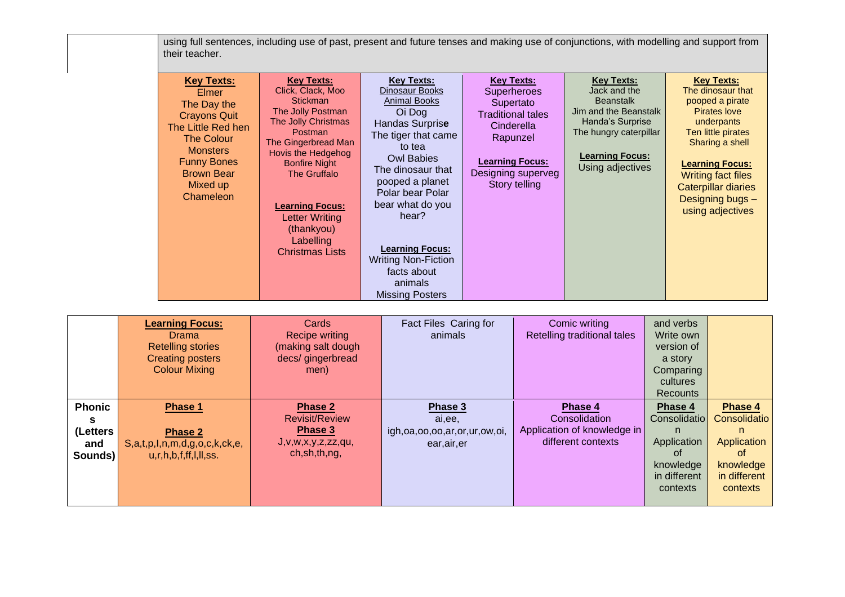using full sentences, including use of past, present and future tenses and making use of conjunctions, with modelling and support from their teacher.

|               | <b>Learning Focus:</b><br><b>Drama</b><br><b>Retelling stories</b><br><b>Creating posters</b><br><b>Colour Mixing</b> | Cards<br><b>Recipe writing</b><br>(making salt dough<br>decs/gingerbread<br>men) | Fact Files Caring for<br>animals     | Comic writing<br>Retelling traditional tales | and verbs<br>Write own<br>version of<br>a story<br>Comparing<br>cultures<br><b>Recounts</b> |              |
|---------------|-----------------------------------------------------------------------------------------------------------------------|----------------------------------------------------------------------------------|--------------------------------------|----------------------------------------------|---------------------------------------------------------------------------------------------|--------------|
| <b>Phonic</b> | Phase 1                                                                                                               | Phase 2                                                                          | Phase 3                              | Phase 4                                      | Phase 4                                                                                     | Phase 4      |
| s             |                                                                                                                       | <b>Revisit/Review</b>                                                            | ai,ee,                               | Consolidation                                | Consolidatio                                                                                | Consolidatio |
| (Letters      | <b>Phase 2</b>                                                                                                        | Phase 3                                                                          | igh, oa, oo, oo, ar, or, ur, ow, oi, | Application of knowledge in                  | n.                                                                                          | n            |
| and           | S,a,t,p,l,n,m,d,g,o,c,k,ck,e,                                                                                         | J, V, W, X, Y, Z, ZZ, QU,                                                        | ear, air, er                         | different contexts                           | Application                                                                                 | Application  |
| Sounds)       | u, r, h, b, f, ff, I, II, ss.                                                                                         | ch, sh, th, ng,                                                                  |                                      |                                              | of                                                                                          | of           |
|               |                                                                                                                       |                                                                                  |                                      |                                              | knowledge                                                                                   | knowledge    |
|               |                                                                                                                       |                                                                                  |                                      |                                              | in different                                                                                | in different |
|               |                                                                                                                       |                                                                                  |                                      |                                              | contexts                                                                                    | contexts     |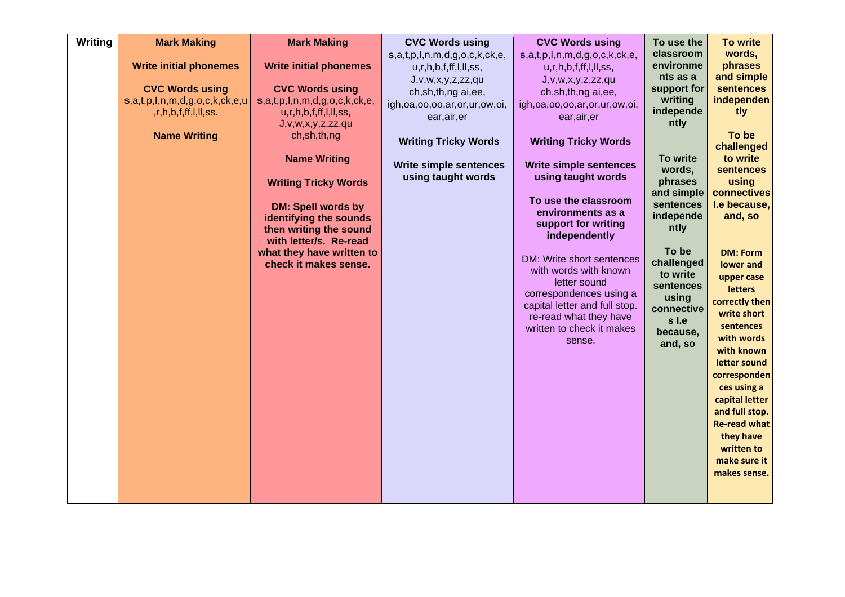| Writing | <b>Mark Making</b>                                                                                                                                       | <b>Mark Making</b>                                                                                                                                                                                                                                                                                                                               | <b>CVC Words using</b>                                                                                                                                                                                                                                                        | <b>CVC Words using</b>                                                                                                                                                                                                                                                                                                                              | To use the                                                                                                                                                         | <b>To write</b>                                                                                                                                                                                                                                                                                             |
|---------|----------------------------------------------------------------------------------------------------------------------------------------------------------|--------------------------------------------------------------------------------------------------------------------------------------------------------------------------------------------------------------------------------------------------------------------------------------------------------------------------------------------------|-------------------------------------------------------------------------------------------------------------------------------------------------------------------------------------------------------------------------------------------------------------------------------|-----------------------------------------------------------------------------------------------------------------------------------------------------------------------------------------------------------------------------------------------------------------------------------------------------------------------------------------------------|--------------------------------------------------------------------------------------------------------------------------------------------------------------------|-------------------------------------------------------------------------------------------------------------------------------------------------------------------------------------------------------------------------------------------------------------------------------------------------------------|
|         | <b>Write initial phonemes</b><br><b>CVC Words using</b><br>$s, a, t, p, l, n, m, d, g, o, c, k, ck, e, u$<br>,r,h,b,f,ff,l,ll,ss.<br><b>Name Writing</b> | <b>Write initial phonemes</b><br><b>CVC Words using</b><br>$s, a, t, p, l, n, m, d, g, o, c, k, ck, e,$<br>u, r, h, b, f, ff, I, II, ss,<br>J,v,w,x,y,z,zz,qu<br>ch, sh, th, ng<br><b>Name Writing</b><br><b>Writing Tricky Words</b><br><b>DM: Spell words by</b><br>identifying the sounds<br>then writing the sound<br>with letter/s. Re-read | $s, a, t, p, l, n, m, d, g, o, c, k, ck, e,$<br>u, r, h, b, f, ff, I, II, ss,<br>J, v, w, x, y, z, zz, qu<br>ch,sh,th,ng ai,ee,<br>igh, oa, oo, oo, ar, or, ur, ow, oi,<br>ear, air, er<br><b>Writing Tricky Words</b><br><b>Write simple sentences</b><br>using taught words | s,a,t,p,l,n,m,d,g,o,c,k,ck,e,<br>u, r, h, b, f, ff, I, II, ss,<br>J, v, w, x, y, z, zz, qu<br>ch,sh,th,ng ai,ee,<br>igh, oa, oo, oo, ar, or, ur, ow, oi,<br>ear, air, er<br><b>Writing Tricky Words</b><br><b>Write simple sentences</b><br>using taught words<br>To use the classroom<br>environments as a<br>support for writing<br>independently | classroom<br>environme<br>nts as a<br>support for<br>writing<br>independe<br>ntly<br>To write<br>words,<br>phrases<br>and simple<br>sentences<br>independe<br>ntly | words,<br>phrases<br>and simple<br><b>sentences</b><br>independen<br>tly<br>To be<br>challenged<br>to write<br>sentences<br>using<br>connectives<br>I.e because,<br>and, so                                                                                                                                 |
|         |                                                                                                                                                          | what they have written to<br>check it makes sense.                                                                                                                                                                                                                                                                                               |                                                                                                                                                                                                                                                                               | DM: Write short sentences<br>with words with known<br>letter sound<br>correspondences using a<br>capital letter and full stop.<br>re-read what they have<br>written to check it makes<br>sense.                                                                                                                                                     | To be<br>challenged<br>to write<br>sentences<br>using<br>connective<br>s I.e<br>because,<br>and, so                                                                | <b>DM: Form</b><br>lower and<br>upper case<br><b>letters</b><br>correctly then<br>write short<br>sentences<br>with words<br>with known<br>letter sound<br>corresponden<br>ces using a<br>capital letter<br>and full stop.<br><b>Re-read what</b><br>they have<br>written to<br>make sure it<br>makes sense. |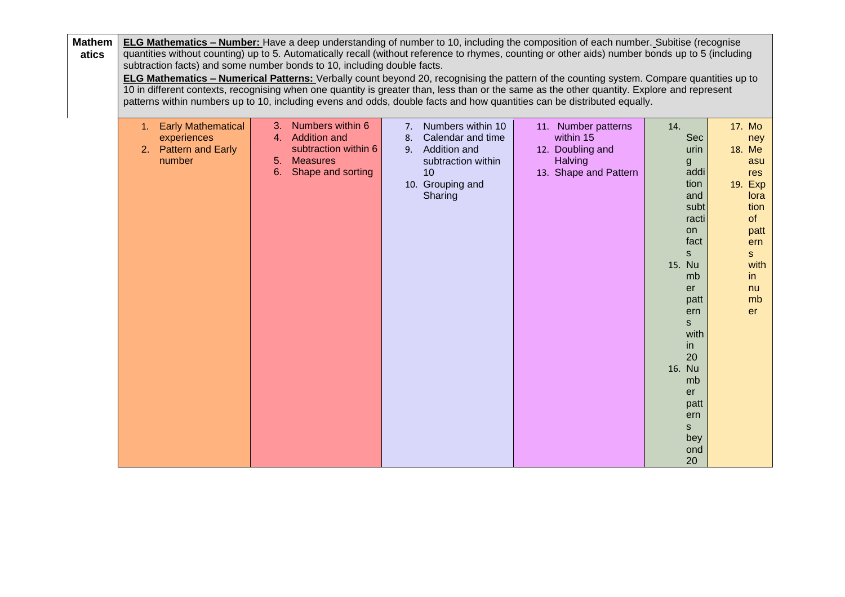| <b>Mathem</b><br>atics |                                                                        | subtraction facts) and some number bonds to 10, including double facts.                                  |                                                                                                                                     | <b>ELG Mathematics – Number:</b> Have a deep understanding of number to 10, including the composition of each number. Subitise (recognise<br>quantities without counting) up to 5. Automatically recall (without reference to rhymes, counting or other aids) number bonds up to 5 (including<br>ELG Mathematics - Numerical Patterns: Verbally count beyond 20, recognising the pattern of the counting system. Compare quantities up to<br>10 in different contexts, recognising when one quantity is greater than, less than or the same as the other quantity. Explore and represent |                                                                                                                                                                                                                                              |                                                                                                                            |
|------------------------|------------------------------------------------------------------------|----------------------------------------------------------------------------------------------------------|-------------------------------------------------------------------------------------------------------------------------------------|------------------------------------------------------------------------------------------------------------------------------------------------------------------------------------------------------------------------------------------------------------------------------------------------------------------------------------------------------------------------------------------------------------------------------------------------------------------------------------------------------------------------------------------------------------------------------------------|----------------------------------------------------------------------------------------------------------------------------------------------------------------------------------------------------------------------------------------------|----------------------------------------------------------------------------------------------------------------------------|
|                        | 1. Early Mathematical<br>experiences<br>2. Pattern and Early<br>number | 3. Numbers within 6<br>4. Addition and<br>subtraction within 6<br>5. Measures<br>Shape and sorting<br>6. | Numbers within 10<br>7.<br>Calendar and time<br>8.<br>Addition and<br>9.<br>subtraction within<br>10<br>10. Grouping and<br>Sharing | patterns within numbers up to 10, including evens and odds, double facts and how quantities can be distributed equally.<br>11. Number patterns<br>within 15<br>12. Doubling and<br>Halving<br>13. Shape and Pattern                                                                                                                                                                                                                                                                                                                                                                      | 14.<br><b>Sec</b><br>urin<br>$\mathbf{g}$<br>addi<br>tion<br>and<br>subt<br>racti<br>on.<br>fact<br><sub>S</sub><br>15. Nu<br>mb<br>er<br>patt<br>ern<br>s<br>with<br>in<br>20<br>16. Nu<br>mb<br>er<br>patt<br>ern<br>S<br>bey<br>ond<br>20 | 17. Mo<br>ney<br>18. Me<br>asu<br>res<br>19. Exp<br>lora<br>tion<br>of<br>patt<br>ern<br>S<br>with<br>in<br>nu<br>mb<br>er |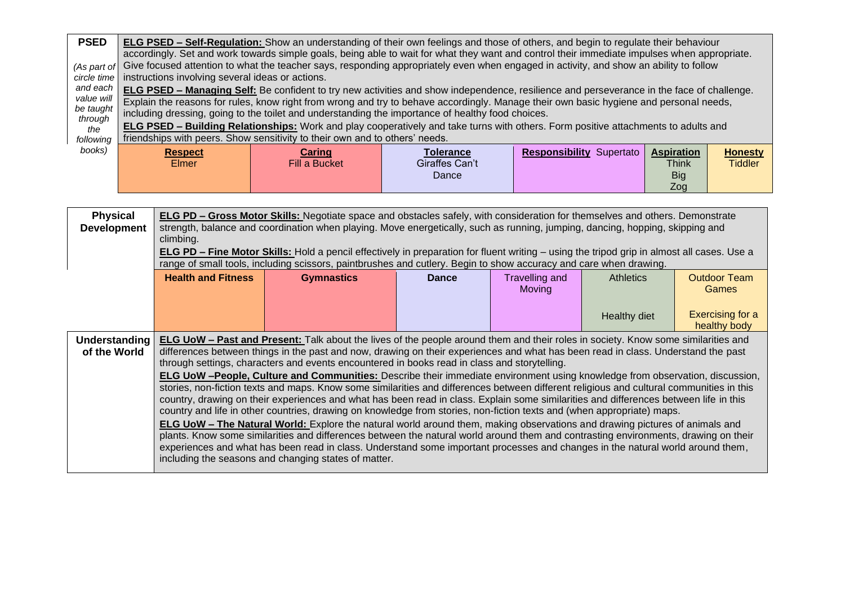| <b>PSED</b>                                                                                                                                                                                                                                                                                                                                                                                                                                                                                                                                                                                                                                                                         | <b>ELG PSED – Self-Regulation:</b> Show an understanding of their own feelings and those of others, and begin to regulate their behaviour<br>accordingly. Set and work towards simple goals, being able to wait for what they want and control their immediate impulses when appropriate. |                                |                                             |                                 |                                                        |                                  |  |  |
|-------------------------------------------------------------------------------------------------------------------------------------------------------------------------------------------------------------------------------------------------------------------------------------------------------------------------------------------------------------------------------------------------------------------------------------------------------------------------------------------------------------------------------------------------------------------------------------------------------------------------------------------------------------------------------------|-------------------------------------------------------------------------------------------------------------------------------------------------------------------------------------------------------------------------------------------------------------------------------------------|--------------------------------|---------------------------------------------|---------------------------------|--------------------------------------------------------|----------------------------------|--|--|
| (As part of<br>circle time                                                                                                                                                                                                                                                                                                                                                                                                                                                                                                                                                                                                                                                          | Give focused attention to what the teacher says, responding appropriately even when engaged in activity, and show an ability to follow<br>instructions involving several ideas or actions.                                                                                                |                                |                                             |                                 |                                                        |                                  |  |  |
| and each<br>ELG PSED - Managing Self: Be confident to try new activities and show independence, resilience and perseverance in the face of challenge.<br>value will<br>Explain the reasons for rules, know right from wrong and try to behave accordingly. Manage their own basic hygiene and personal needs,<br>be taught<br>including dressing, going to the toilet and understanding the importance of healthy food choices.<br>through<br>ELG PSED - Building Relationships: Work and play cooperatively and take turns with others. Form positive attachments to adults and<br>the<br>friendships with peers. Show sensitivity to their own and to others' needs.<br>following |                                                                                                                                                                                                                                                                                           |                                |                                             |                                 |                                                        |                                  |  |  |
| books)                                                                                                                                                                                                                                                                                                                                                                                                                                                                                                                                                                                                                                                                              | <b>Respect</b><br><b>Elmer</b>                                                                                                                                                                                                                                                            | <b>Caring</b><br>Fill a Bucket | <b>Tolerance</b><br>Giraffes Can't<br>Dance | <b>Responsibility Supertato</b> | <b>Aspiration</b><br><b>Think</b><br><b>Big</b><br>Zog | <b>Honesty</b><br><b>Tiddler</b> |  |  |

| <b>Physical</b><br><b>Development</b> | ELG PD - Gross Motor Skills: Negotiate space and obstacles safely, with consideration for themselves and others. Demonstrate<br>strength, balance and coordination when playing. Move energetically, such as running, jumping, dancing, hopping, skipping and<br>climbing.<br><b>ELG PD – Fine Motor Skills:</b> Hold a pencil effectively in preparation for fluent writing – using the tripod grip in almost all cases. Use a<br>range of small tools, including scissors, paintbrushes and cutlery. Begin to show accuracy and care when drawing. |                                                                                                                                                                                                                                                              |              |                                 |                     |                              |  |  |
|---------------------------------------|------------------------------------------------------------------------------------------------------------------------------------------------------------------------------------------------------------------------------------------------------------------------------------------------------------------------------------------------------------------------------------------------------------------------------------------------------------------------------------------------------------------------------------------------------|--------------------------------------------------------------------------------------------------------------------------------------------------------------------------------------------------------------------------------------------------------------|--------------|---------------------------------|---------------------|------------------------------|--|--|
|                                       | <b>Health and Fitness</b>                                                                                                                                                                                                                                                                                                                                                                                                                                                                                                                            | <b>Gymnastics</b>                                                                                                                                                                                                                                            | <b>Dance</b> | <b>Travelling and</b><br>Moving | <b>Athletics</b>    | <b>Outdoor Team</b><br>Games |  |  |
|                                       |                                                                                                                                                                                                                                                                                                                                                                                                                                                                                                                                                      |                                                                                                                                                                                                                                                              |              |                                 | <b>Healthy diet</b> | <b>Exercising for a</b>      |  |  |
|                                       |                                                                                                                                                                                                                                                                                                                                                                                                                                                                                                                                                      |                                                                                                                                                                                                                                                              |              |                                 |                     | healthy body                 |  |  |
| Understanding<br>of the World         | <b>ELG UoW – Past and Present:</b> Talk about the lives of the people around them and their roles in society. Know some similarities and<br>differences between things in the past and now, drawing on their experiences and what has been read in class. Understand the past<br>through settings, characters and events encountered in books read in class and storytelling.<br>ELG UoW -People, Culture and Communities: Describe their immediate environment using knowledge from observation, discussion,                                        |                                                                                                                                                                                                                                                              |              |                                 |                     |                              |  |  |
|                                       | stories, non-fiction texts and maps. Know some similarities and differences between different religious and cultural communities in this<br>country, drawing on their experiences and what has been read in class. Explain some similarities and differences between life in this                                                                                                                                                                                                                                                                    |                                                                                                                                                                                                                                                              |              |                                 |                     |                              |  |  |
|                                       |                                                                                                                                                                                                                                                                                                                                                                                                                                                                                                                                                      | country and life in other countries, drawing on knowledge from stories, non-fiction texts and (when appropriate) maps.<br><b>ELG UoW – The Natural World:</b> Explore the natural world around them, making observations and drawing pictures of animals and |              |                                 |                     |                              |  |  |
|                                       |                                                                                                                                                                                                                                                                                                                                                                                                                                                                                                                                                      | plants. Know some similarities and differences between the natural world around them and contrasting environments, drawing on their                                                                                                                          |              |                                 |                     |                              |  |  |
|                                       |                                                                                                                                                                                                                                                                                                                                                                                                                                                                                                                                                      | experiences and what has been read in class. Understand some important processes and changes in the natural world around them,<br>including the seasons and changing states of matter.                                                                       |              |                                 |                     |                              |  |  |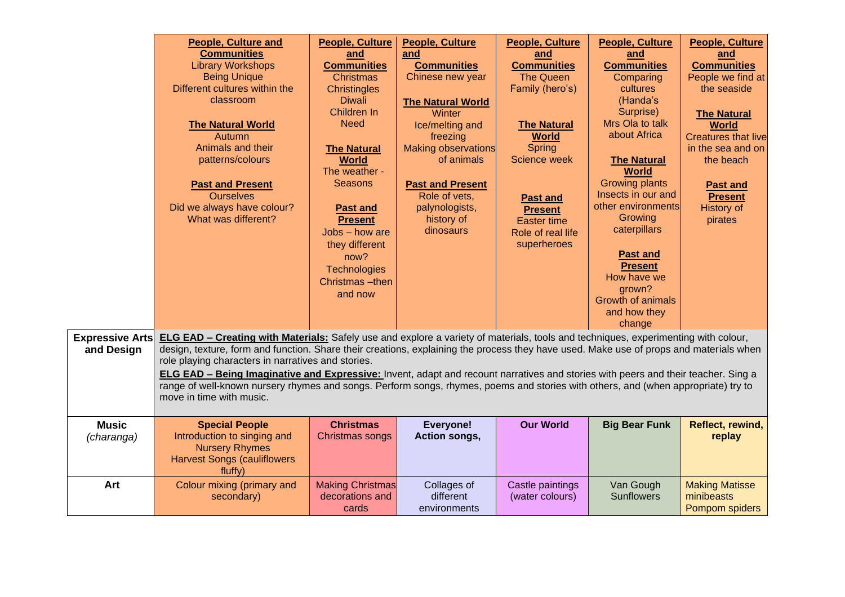| <b>Expressive Arts</b><br>and Design | <b>People, Culture and</b><br><b>Communities</b><br><b>Library Workshops</b><br><b>Being Unique</b><br>Different cultures within the<br>classroom<br><b>The Natural World</b><br>Autumn<br>Animals and their<br>patterns/colours<br><b>Past and Present</b><br><b>Ourselves</b><br>Did we always have colour?<br>What was different?<br><b>ELG EAD - Creating with Materials:</b> Safely use and explore a variety of materials, tools and techniques, experimenting with colour,<br>design, texture, form and function. Share their creations, explaining the process they have used. Make use of props and materials when<br>role playing characters in narratives and stories.<br><b>ELG EAD - Being Imaginative and Expressive:</b> Invent, adapt and recount narratives and stories with peers and their teacher. Sing a<br>range of well-known nursery rhymes and songs. Perform songs, rhymes, poems and stories with others, and (when appropriate) try to<br>move in time with music. | <b>People, Culture</b><br>and<br><b>Communities</b><br><b>Christmas</b><br><b>Christingles</b><br><b>Diwali</b><br>Children In<br><b>Need</b><br><b>The Natural</b><br><b>World</b><br>The weather -<br><b>Seasons</b><br><b>Past and</b><br><b>Present</b><br>Jobs - how are<br>they different<br>now?<br><b>Technologies</b><br>Christmas-then<br>and now | <b>People, Culture</b><br>and<br><b>Communities</b><br>Chinese new year<br><b>The Natural World</b><br>Winter<br>Ice/melting and<br>freezing<br>Making observations<br>of animals<br><b>Past and Present</b><br>Role of vets,<br>palynologists,<br>history of<br>dinosaurs | <b>People, Culture</b><br>and<br><b>Communities</b><br><b>The Queen</b><br>Family (hero's)<br><b>The Natural</b><br><b>World</b><br>Spring<br><b>Science week</b><br><b>Past and</b><br><b>Present</b><br><b>Easter time</b><br>Role of real life<br>superheroes | People, Culture<br>and<br><b>Communities</b><br>Comparing<br>cultures<br>(Handa's<br>Surprise)<br>Mrs Ola to talk<br>about Africa<br><b>The Natural</b><br><b>World</b><br><b>Growing plants</b><br>Insects in our and<br>other environments<br>Growing<br>caterpillars<br><b>Past and</b><br><b>Present</b><br>How have we<br>grown?<br><b>Growth of animals</b><br>and how they<br>change | <b>People, Culture</b><br>and<br><b>Communities</b><br>People we find at<br>the seaside<br><b>The Natural</b><br><b>World</b><br><b>Creatures that live</b><br>in the sea and on<br>the beach<br><b>Past and</b><br><b>Present</b><br><b>History of</b><br>pirates |
|--------------------------------------|------------------------------------------------------------------------------------------------------------------------------------------------------------------------------------------------------------------------------------------------------------------------------------------------------------------------------------------------------------------------------------------------------------------------------------------------------------------------------------------------------------------------------------------------------------------------------------------------------------------------------------------------------------------------------------------------------------------------------------------------------------------------------------------------------------------------------------------------------------------------------------------------------------------------------------------------------------------------------------------------|-------------------------------------------------------------------------------------------------------------------------------------------------------------------------------------------------------------------------------------------------------------------------------------------------------------------------------------------------------------|----------------------------------------------------------------------------------------------------------------------------------------------------------------------------------------------------------------------------------------------------------------------------|------------------------------------------------------------------------------------------------------------------------------------------------------------------------------------------------------------------------------------------------------------------|---------------------------------------------------------------------------------------------------------------------------------------------------------------------------------------------------------------------------------------------------------------------------------------------------------------------------------------------------------------------------------------------|--------------------------------------------------------------------------------------------------------------------------------------------------------------------------------------------------------------------------------------------------------------------|
| <b>Music</b><br>(charanga)           | <b>Special People</b><br>Introduction to singing and<br><b>Nursery Rhymes</b><br><b>Harvest Songs (cauliflowers</b><br>fluffy)                                                                                                                                                                                                                                                                                                                                                                                                                                                                                                                                                                                                                                                                                                                                                                                                                                                                 | <b>Christmas</b><br>Christmas songs                                                                                                                                                                                                                                                                                                                         | <b>Everyone!</b><br>Action songs,                                                                                                                                                                                                                                          | <b>Our World</b>                                                                                                                                                                                                                                                 | <b>Big Bear Funk</b>                                                                                                                                                                                                                                                                                                                                                                        | Reflect, rewind,<br>replay                                                                                                                                                                                                                                         |
| Art                                  | Colour mixing (primary and<br>secondary)                                                                                                                                                                                                                                                                                                                                                                                                                                                                                                                                                                                                                                                                                                                                                                                                                                                                                                                                                       | <b>Making Christmas</b><br>decorations and<br>cards                                                                                                                                                                                                                                                                                                         | Collages of<br>different<br>environments                                                                                                                                                                                                                                   | Castle paintings<br>(water colours)                                                                                                                                                                                                                              | Van Gough<br><b>Sunflowers</b>                                                                                                                                                                                                                                                                                                                                                              | <b>Making Matisse</b><br>minibeasts<br>Pompom spiders                                                                                                                                                                                                              |